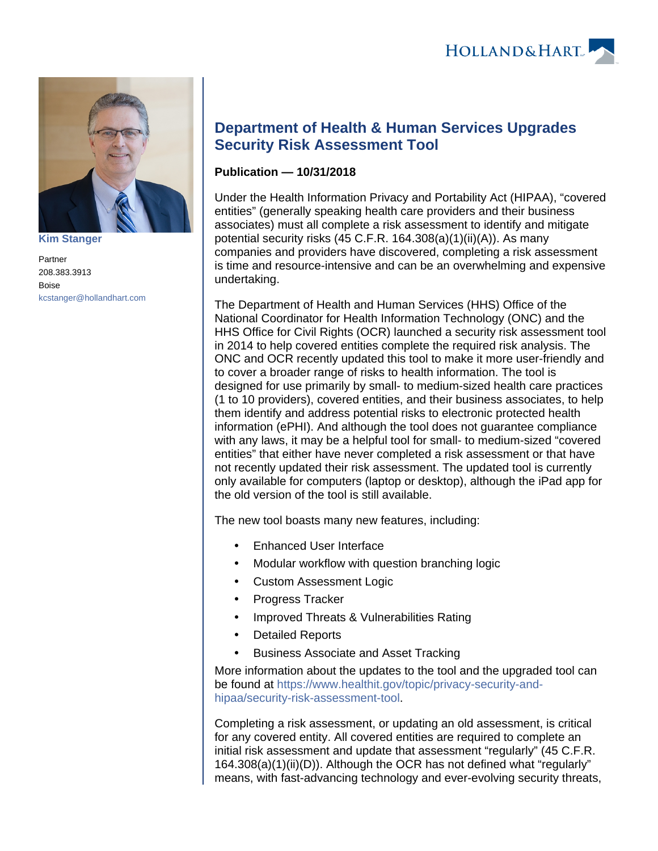

**[Kim Stanger](https://www.hollandhart.com/15954)**

Partner 208.383.3913 Boise [kcstanger@hollandhart.com](mailto:kcstanger@hollandhart.com)

## **Department of Health & Human Services Upgrades Security Risk Assessment Tool**

## **Publication — 10/31/2018**

Under the Health Information Privacy and Portability Act (HIPAA), "covered entities" (generally speaking health care providers and their business associates) must all complete a risk assessment to identify and mitigate potential security risks (45 C.F.R. 164.308(a)(1)(ii)(A)). As many companies and providers have discovered, completing a risk assessment is time and resource-intensive and can be an overwhelming and expensive undertaking.

The Department of Health and Human Services (HHS) Office of the National Coordinator for Health Information Technology (ONC) and the HHS Office for Civil Rights (OCR) launched a security risk assessment tool in 2014 to help covered entities complete the required risk analysis. The ONC and OCR recently updated this tool to make it more user-friendly and to cover a broader range of risks to health information. The tool is designed for use primarily by small- to medium-sized health care practices (1 to 10 providers), covered entities, and their business associates, to help them identify and address potential risks to electronic protected health information (ePHI). And although the tool does not guarantee compliance with any laws, it may be a helpful tool for small- to medium-sized "covered entities" that either have never completed a risk assessment or that have not recently updated their risk assessment. The updated tool is currently only available for computers (laptop or desktop), although the iPad app for the old version of the tool is still available.

The new tool boasts many new features, including:

- Enhanced User Interface
- Modular workflow with question branching logic
- Custom Assessment Logic
- Progress Tracker
- Improved Threats & Vulnerabilities Rating
- Detailed Reports
- Business Associate and Asset Tracking

More information about the updates to the tool and the upgraded tool can be found at [https://www.healthit.gov/topic/privacy-security-and](https://www.healthit.gov/topic/privacy-security-and-hipaa/security-risk-assessment-tool)[hipaa/security-risk-assessment-tool](https://www.healthit.gov/topic/privacy-security-and-hipaa/security-risk-assessment-tool).

Completing a risk assessment, or updating an old assessment, is critical for any covered entity. All covered entities are required to complete an initial risk assessment and update that assessment "regularly" (45 C.F.R. 164.308(a)(1)(ii)(D)). Although the OCR has not defined what "regularly" means, with fast-advancing technology and ever-evolving security threats,